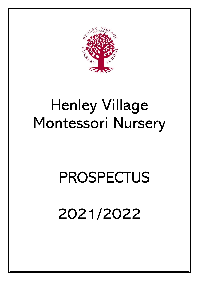

# Henley Village Montessori Nursery

# PROSPECTUS

2021/2022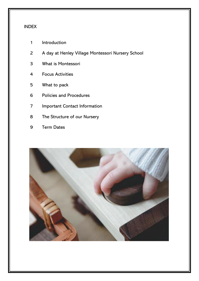#### INDEX

- Introduction
- A day at Henley Village Montessori Nursery School
- What is Montessori
- Focus Activities
- What to pack
- Policies and Procedures
- Important Contact Information
- The Structure of our Nursery
- Term Dates

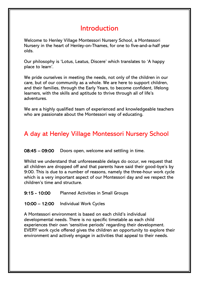# Introduction

Welcome to Henley Village Montessori Nursery School, a Montessori Nursery in the heart of Henley-on-Thames, for one to five-and-a-half year olds.

Our philosophy is 'Lotus, Leatus, Discere' which translates to 'A happy place to learn'.

We pride ourselves in meeting the needs, not only of the children in our care, but of our community as a whole. We are here to support children, and their families, through the Early Years, to become confident, lifelong learners, with the skills and aptitude to thrive through all of life's adventures.

We are a highly qualified team of experienced and knowledgeable teachers who are passionate about the Montessori way of educating.

# A day at Henley Village Montessori Nursery School

08:45 – 09:00 Doors open, welcome and settling in time.

Whilst we understand that unforeseeable delays do occur, we request that all children are dropped off and that parents have said their good-bye's by 9:00. This is due to a number of reasons, namely the three-hour work cycle which is a very important aspect of our Montessori day and we respect the children's time and structure.

9:15 - 10:00 Planned Activities in Small Groups

10:00 – 12:00 Individual Work Cycles

A Montessori environment is based on each child's individual developmental needs. There is no specific timetable as each child experiences their own 'sensitive periods' regarding their development. EVERY work cycle offered gives the children an opportunity to explore their environment and actively engage in activities that appeal to their needs.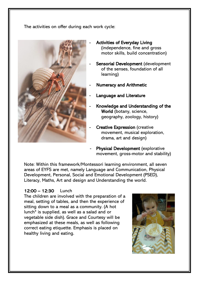The activities on offer during each work cycle:



- Activities of Everyday Living (independence, fine and gross motor skills, build concentration)
- Sensorial Development (development of the senses, foundation of all learning)
- **Numeracy and Arithmetic**
- Language and Literature
	- Knowledge and Understanding of the World (botany, science, geography, zoology, history)
	- **Creative Expression (creative** movement, musical exploration, drama, art and design)
- Physical Development (explorative movement, gross-motor and stability)

Note: Within this framework/Montessori learning environment, all seven areas of EYFS are met, namely Language and Communication, Physical Development, Personal, Social and Emotional Development (PSED), Literacy, Maths, Art and design and Understanding the world.

#### 12:00 – 12:30 Lunch

The children are involved with the preparation of a meal, setting of tables, and then the experience of sitting down to a meal as a community. (A hot lunch\* is supplied, as well as a salad and or vegetable side dish). Grace and Courtesy will be emphasized at these meals, as well as following correct eating etiquette. Emphasis is placed on healthy living and eating.

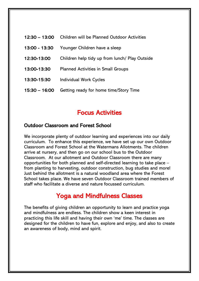| 12:30 – 13:00   | Children will be Planned Outdoor Activities    |
|-----------------|------------------------------------------------|
| 13:00 - 13:30   | Younger Children have a sleep                  |
| 12:30-13:00     | Children help tidy up from lunch/ Play Outside |
| 13:00-13:30     | <b>Planned Activities in Small Groups</b>      |
| 13:30-15:30     | <b>Individual Work Cycles</b>                  |
| $15:30 - 16:00$ | Getting ready for home time/Story Time         |

## Focus Activities

### Outdoor Classroom and Forest School

We incorporate plenty of outdoor learning and experiences into our daily curriculum. To enhance this experience, we have set up our own Outdoor Classroom and Forest School at the Watermans Allotments. The children arrive at nursery, and then go on our school bus to the Outdoor Classroom. At our allotment and Outdoor Classroom there are many opportunities for both planned and self-directed learning to take place – from planting to harvesting, outdoor construction, bug studies and more! Just behind the allotment is a natural woodland area where the Forest School takes place. We have seven Outdoor Classroom trained members of staff who facilitate a diverse and nature focussed curriculum.

## Yoga and Mindfulness Classes

The benefits of giving children an opportunity to learn and practice yoga and mindfulness are endless. The children show a keen interest in practicing this life skill and having their own 'me' time. The classes are designed for the children to have fun, explore and enjoy, and also to create an awareness of body, mind and spirit.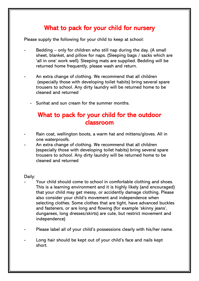## What to pack for your child for nursery

Please supply the following for your child to keep at school:

- Bedding only for children who still nap during the day. (A small sheet, blanket, and pillow for naps. (Sleeping bags / sacks which are 'all in one' work well). Sleeping mats are supplied. Bedding will be returned home frequently, please wash and return.
- An extra change of clothing. We recommend that all children (especially those with developing toilet habits) bring several spare trousers to school. Any dirty laundry will be returned home to be cleaned and returned
	- Sunhat and sun cream for the summer months.

## What to pack for your child for the outdoor classroom

- Rain coat, wellington boots, a warm hat and mittens/gloves. All in one waterproofs.
- An extra change of clothing. We recommend that all children (especially those with developing toilet habits) bring several spare trousers to school. Any dirty laundry will be returned home to be cleaned and returned

#### Daily:

- Your child should come to school in comfortable clothing and shoes. This is a learning environment and it is highly likely (and encouraged) that your child may get messy, or accidently damage clothing. Please also consider your child's movement and independence when selecting clothes. Some clothes that are tight, have advanced buckles and fasteners, or are long and flowing (for example 'skinny jeans', dungarees, long dresses/skirts) are cute, but restrict movement and independence)
- Please label all of your child's possessions clearly with his/her name.
- Long hair should be kept out of your child's face and nails kept short.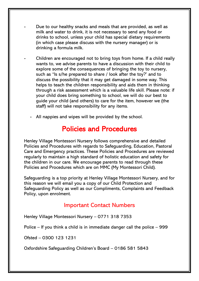- Due to our healthy snacks and meals that are provided, as well as milk and water to drink, it is not necessary to send any food or drinks to school, unless your child has special dietary requirements (in which case please discuss with the nursery manager) or is drinking a formula milk.
- Children are encouraged not to bring toys from home. If a child really wants to, we advise parents to have a discussion with their child to explore some of the consequences of bringing the toy to nursery, such as "Is s/he prepared to share / look after the toy?' and to discuss the possibility that it may get damaged in some way. This helps to teach the children responsibility and aids them in thinking through a risk assessment which is a valuable life skill. Please note: if your child does bring something to school, we will do our best to guide your child (and others) to care for the item, however we (the staff) will not take responsibility for any items.
	- All nappies and wipes will be provided by the school.

# Policies and Procedures

Henley Village Montessori Nursery follows comprehensive and detailed Policies and Procedures with regards to Safeguarding, Education, Pastoral Care and Emergency practices. These Policies and Procedures are reviewed regularly to maintain a high standard of holistic education and safety for the children in our care. We encourage parents to read through these Policies and Procedures which are on MMC (My Montessori Child).

Safeguarding is a top priority at Henley Village Montessori Nursery, and for this reason we will email you a copy of our Child Protection and Safeguarding Policy as well as our Compliments, Complaints and Feedback Policy, upon enrolment.

## Important Contact Numbers

Henley Village Montessori Nursery – 0771 318 7353

Police – If you think a child is in immediate danger call the police – 999

Ofsted – 0300 123 1231

Oxfordshire Safeguarding Children's Board – 0186 581 5843